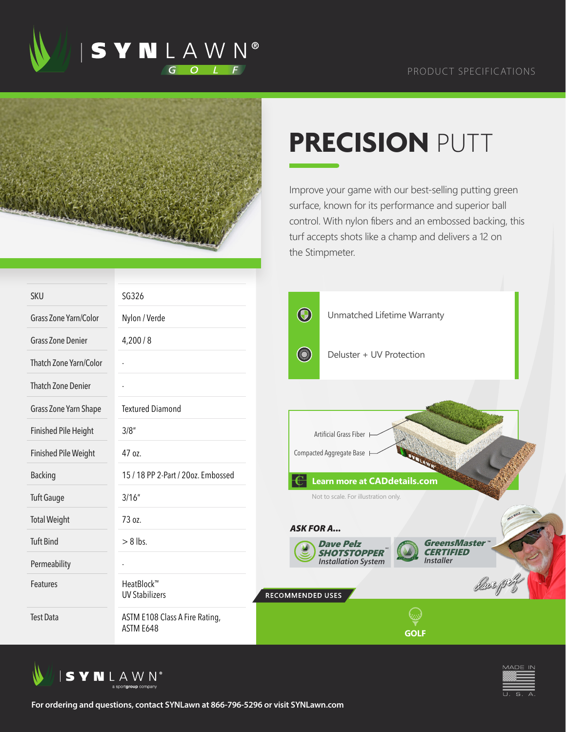





## **PRECISION** PUTT

Improve your game with our best-selling putting green surface, known for its performance and superior ball control. With nylon fibers and an embossed backing, this turf accepts shots like a champ and delivers a 12 on the Stimpmeter.

| SKU                         | SG326                                       |                                                                             |
|-----------------------------|---------------------------------------------|-----------------------------------------------------------------------------|
| Grass Zone Yarn/Color       | Nylon / Verde                               | $\bigcirc$<br>Unmatched Lifetime Warranty                                   |
| <b>Grass Zone Denier</b>    | 4,200/8                                     |                                                                             |
| Thatch Zone Yarn/Color      |                                             | <b>CONTRACTOR</b><br>Deluster + UV Protection                               |
| <b>Thatch Zone Denier</b>   |                                             |                                                                             |
| Grass Zone Yarn Shape       | <b>Textured Diamond</b>                     |                                                                             |
| <b>Finished Pile Height</b> | 3/8''                                       | Artificial Grass Fiber                                                      |
| <b>Finished Pile Weight</b> | 47 oz.                                      | Compacted Aggregate Base                                                    |
| <b>Backing</b>              | 15 / 18 PP 2-Part / 20oz. Embossed          | <b>Learn more at CADdetails.com</b>                                         |
| <b>Tuft Gauge</b>           | 3/16''                                      | Not to scale. For illustration only.                                        |
| <b>Total Weight</b>         | 73 oz.                                      | <b>ASK FOR A</b>                                                            |
| <b>Tuft Bind</b>            | $> 8$ lbs.                                  | GreensMaster™<br><b>Dave Pelz</b><br><b>CERTIFIED</b><br><b>SHOTSTOPPER</b> |
| Permeability                |                                             | <b>Installer</b><br><b>Installation System</b>                              |
| Features                    | HeatBlock™<br><b>UV Stabilizers</b>         | RECOMMENDED USES                                                            |
| <b>Test Data</b>            | ASTM E108 Class A Fire Rating,<br>ASTM E648 | <b>GOLF</b>                                                                 |





**For ordering and questions, contact SYNLawn at 866-796-5296 or visit SYNLawn.com**